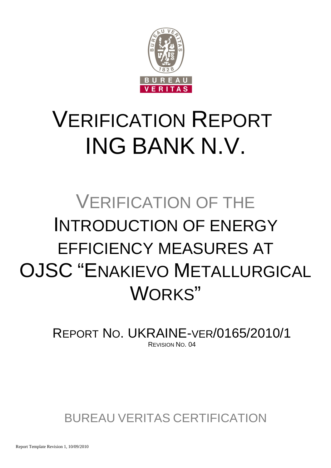

# VERIFICATION REPORT ING BANK N.V.

## VERIFICATION OF THE INTRODUCTION OF ENERGY EFFICIENCY MEASURES AT OJSC "ENAKIEVO METALLURGICAL WORKS"

REPORT NO. UKRAINE-VER/0165/2010/1 REVISION NO. 04

BUREAU VERITAS CERTIFICATION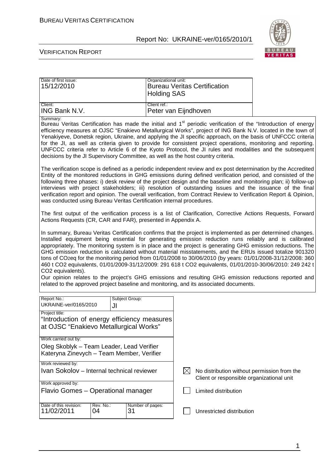

| Date of first issue:<br>15/12/2010                                                                                                                                                                                                                                                                                                                                                                                                                                                                                                                                                                                                                                                    | Organizational unit:<br><b>Bureau Veritas Certification</b><br><b>Holding SAS</b>                                                                                                                                                                                                                                                                                                                                                                                                                                                                                                                                                                                                                                                                                                                                                                                               |                                                                                          |  |  |  |  |  |
|---------------------------------------------------------------------------------------------------------------------------------------------------------------------------------------------------------------------------------------------------------------------------------------------------------------------------------------------------------------------------------------------------------------------------------------------------------------------------------------------------------------------------------------------------------------------------------------------------------------------------------------------------------------------------------------|---------------------------------------------------------------------------------------------------------------------------------------------------------------------------------------------------------------------------------------------------------------------------------------------------------------------------------------------------------------------------------------------------------------------------------------------------------------------------------------------------------------------------------------------------------------------------------------------------------------------------------------------------------------------------------------------------------------------------------------------------------------------------------------------------------------------------------------------------------------------------------|------------------------------------------------------------------------------------------|--|--|--|--|--|
| Client:<br>ING Bank N.V.                                                                                                                                                                                                                                                                                                                                                                                                                                                                                                                                                                                                                                                              | Client ref.:<br>Peter van Eijndhoven                                                                                                                                                                                                                                                                                                                                                                                                                                                                                                                                                                                                                                                                                                                                                                                                                                            |                                                                                          |  |  |  |  |  |
| Summary:<br>Bureau Veritas Certification has made the initial and 1 <sup>st</sup> periodic verification of the "Introduction of energy<br>efficiency measures at OJSC "Enakievo Metallurgical Works", project of ING Bank N.V. located in the town of<br>Yenakiyeve, Donetsk region, Ukraine, and applying the JI specific approach, on the basis of UNFCCC criteria<br>for the JI, as well as criteria given to provide for consistent project operations, monitoring and reporting.<br>UNFCCC criteria refer to Article 6 of the Kyoto Protocol, the JI rules and modalities and the subsequent<br>decisions by the JI Supervisory Committee, as well as the host country criteria. |                                                                                                                                                                                                                                                                                                                                                                                                                                                                                                                                                                                                                                                                                                                                                                                                                                                                                 |                                                                                          |  |  |  |  |  |
| The verification scope is defined as a periodic independent review and ex post determination by the Accredited<br>Entity of the monitored reductions in GHG emissions during defined verification period, and consisted of the<br>following three phases: i) desk review of the project design and the baseline and monitoring plan; ii) follow-up<br>interviews with project stakeholders; iii) resolution of outstanding issues and the issuance of the final<br>verification report and opinion. The overall verification, from Contract Review to Verification Report & Opinion,<br>was conducted using Bureau Veritas Certification internal procedures.                         |                                                                                                                                                                                                                                                                                                                                                                                                                                                                                                                                                                                                                                                                                                                                                                                                                                                                                 |                                                                                          |  |  |  |  |  |
| The first output of the verification process is a list of Clarification, Corrective Actions Requests, Forward<br>Actions Requests (CR, CAR and FAR), presented in Appendix A.                                                                                                                                                                                                                                                                                                                                                                                                                                                                                                         |                                                                                                                                                                                                                                                                                                                                                                                                                                                                                                                                                                                                                                                                                                                                                                                                                                                                                 |                                                                                          |  |  |  |  |  |
| CO2 equivalents).                                                                                                                                                                                                                                                                                                                                                                                                                                                                                                                                                                                                                                                                     | In summary, Bureau Veritas Certification confirms that the project is implemented as per determined changes.<br>Installed equipment being essential for generating emission reduction runs reliably and is calibrated<br>appropriately. The monitoring system is in place and the project is generating GHG emission reductions. The<br>GHG emission reduction is calculated without material misstatements, and the ERUs issued totalize 901320<br>tons of CO2eq for the monitoring period from 01/01/2008 to 30/06/2010 (by years: 01/01/2008-31/12/2008: 360<br>460 t CO2 equivalents, 01/01/2009-31/12/2009: 291 618 t CO2 equivalents, 01/01/2010-30/06/2010: 249 242 t<br>Our opinion relates to the project's GHG emissions and resulting GHG emission reductions reported and<br>related to the approved project baseline and monitoring, and its associated documents. |                                                                                          |  |  |  |  |  |
| Report No.:<br>Subject Group:<br>UKRAINE-ver/0165/2010<br>JI                                                                                                                                                                                                                                                                                                                                                                                                                                                                                                                                                                                                                          |                                                                                                                                                                                                                                                                                                                                                                                                                                                                                                                                                                                                                                                                                                                                                                                                                                                                                 |                                                                                          |  |  |  |  |  |
| Project title:<br>"Introduction of energy efficiency measures<br>at OJSC "Enakievo Metallurgical Works"                                                                                                                                                                                                                                                                                                                                                                                                                                                                                                                                                                               |                                                                                                                                                                                                                                                                                                                                                                                                                                                                                                                                                                                                                                                                                                                                                                                                                                                                                 |                                                                                          |  |  |  |  |  |
| Work carried out by:<br>Oleg Skoblyk - Team Leader, Lead Verifier<br>Kateryna Zinevych – Team Member, Verifier                                                                                                                                                                                                                                                                                                                                                                                                                                                                                                                                                                        |                                                                                                                                                                                                                                                                                                                                                                                                                                                                                                                                                                                                                                                                                                                                                                                                                                                                                 |                                                                                          |  |  |  |  |  |
| Work reviewed by:<br>Ivan Sokolov - Internal technical reviewer                                                                                                                                                                                                                                                                                                                                                                                                                                                                                                                                                                                                                       | $\boxtimes$                                                                                                                                                                                                                                                                                                                                                                                                                                                                                                                                                                                                                                                                                                                                                                                                                                                                     | No distribution without permission from the<br>Client or responsible organizational unit |  |  |  |  |  |
| Work approved by:<br>Flavio Gomes - Operational manager                                                                                                                                                                                                                                                                                                                                                                                                                                                                                                                                                                                                                               |                                                                                                                                                                                                                                                                                                                                                                                                                                                                                                                                                                                                                                                                                                                                                                                                                                                                                 | Limited distribution                                                                     |  |  |  |  |  |
| Date of this revision:<br>Rev. No.:<br>11/02/2011<br>04<br>31                                                                                                                                                                                                                                                                                                                                                                                                                                                                                                                                                                                                                         | Number of pages:                                                                                                                                                                                                                                                                                                                                                                                                                                                                                                                                                                                                                                                                                                                                                                                                                                                                | Unrestricted distribution                                                                |  |  |  |  |  |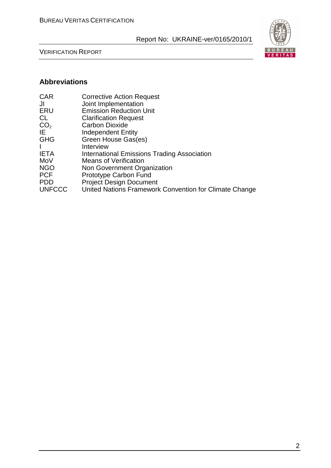

VERIFICATION REPORT

#### **Abbreviations**

| <b>CAR</b>      | <b>Corrective Action Request</b>                       |
|-----------------|--------------------------------------------------------|
| JI              | Joint Implementation                                   |
| ERU             | <b>Emission Reduction Unit</b>                         |
| CL              | <b>Clarification Request</b>                           |
| CO <sub>2</sub> | <b>Carbon Dioxide</b>                                  |
| IE              | <b>Independent Entity</b>                              |
| <b>GHG</b>      | Green House Gas(es)                                    |
| $\mathbf{I}$    | Interview                                              |
| <b>IETA</b>     | International Emissions Trading Association            |
| MoV             | <b>Means of Verification</b>                           |
| <b>NGO</b>      | Non Government Organization                            |
| <b>PCF</b>      | Prototype Carbon Fund                                  |
| <b>PDD</b>      | <b>Project Design Document</b>                         |
| <b>UNFCCC</b>   | United Nations Framework Convention for Climate Change |
|                 |                                                        |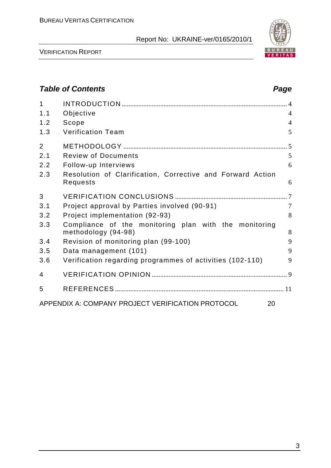

VERIFICATION REPORT

## **Table of Contents Page 2014** 1 INTRODUCTION ................................................................................................... 4 1.1 Objective 4 1.2 Scope 4 1.3 Verification Team 5 2 METHODOLOGY .................................................................................................. 5 2.1 Review of Documents 5 2.2 Follow-up Interviews 6 2.3 Resolution of Clarification, Corrective and Forward Action Requests 6 3 VERIFICATION CONCLUSIONS ................................................................... 7 3.1 Project approval by Parties involved (90-91) 7 3.2 Project implementation (92-93) 8 3.3 Compliance of the monitoring plan with the monitoring methodology (94-98) 8 3.4 Revision of monitoring plan (99-100) 9 3.5 Data management (101) 9 3.6 Verification regarding programmes of activities (102-110) 9 4 VERIFICATION OPINION ................................................................................. 9 5 REFERENCES ..................................................................................................... 11 APPENDIX A: COMPANY PROJECT VERIFICATION PROTOCOL 20

#### 3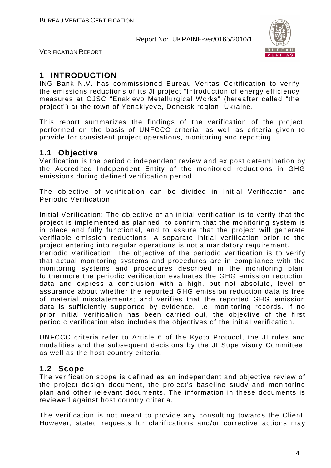

VERIFICATION REPORT

## **1 INTRODUCTION**

ING Bank N.V. has commissioned Bureau Veritas Certification to verify the emissions reductions of its JI project "Introduction of energy efficiency measures at OJSC "Enakievo Metallurgical Works" (hereafter called "the project") at the town of Yenakiyeve, Donetsk region, Ukraine.

This report summarizes the findings of the verification of the project, performed on the basis of UNFCCC criteria, as well as criteria given to provide for consistent project operations, monitoring and reporting.

## **1.1 Objective**

Verification is the periodic independent review and ex post determination by the Accredited Independent Entity of the monitored reductions in GHG emissions during defined verification period.

The objective of verification can be divided in Initial Verification and Periodic Verification.

Initial Verification: The objective of an initial verification is to verify that the project is implemented as planned, to confirm that the monitoring system is in place and fully functional, and to assure that the project will generate verifiable emission reductions. A separate initial verification prior to the project entering into regular operations is not a mandatory requirement.

Periodic Verification: The objective of the periodic verification is to verify that actual monitoring systems and procedures are in compliance with the monitoring systems and procedures described in the monitoring plan; furthermore the periodic verification evaluates the GHG emission reduction data and express a conclusion with a high, but not absolute, level of assurance about whether the reported GHG emission reduction data is free of material misstatements; and verifies that the reported GHG emission data is sufficiently supported by evidence, i.e. monitoring records. If no prior initial verification has been carried out, the objective of the first periodic verification also includes the objectives of the initial verification.

UNFCCC criteria refer to Article 6 of the Kyoto Protocol, the JI rules and modalities and the subsequent decisions by the JI Supervisory Committee, as well as the host country criteria.

## **1.2 Scope**

The verification scope is defined as an independent and objective review of the project design document, the project's baseline study and monitoring plan and other relevant documents. The information in these documents is reviewed against host country criteria.

The verification is not meant to provide any consulting towards the Client. However, stated requests for clarifications and/or corrective actions may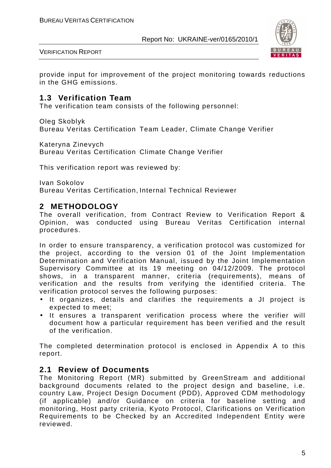

VERIFICATION REPORT

provide input for improvement of the project monitoring towards reductions in the GHG emissions.

#### **1.3 Verification Team**

The verification team consists of the following personnel:

Oleg Skoblyk

Bureau Veritas Certification Team Leader, Climate Change Verifier

Kateryna Zinevych

Bureau Veritas Certification Climate Change Verifier

This verification report was reviewed by:

Ivan Sokolov Bureau Veritas Certification, Internal Technical Reviewer

#### **2 METHODOLOGY**

The overall verification, from Contract Review to Verification Report & Opinion, was conducted using Bureau Veritas Certification internal procedures.

In order to ensure transparency, a verification protocol was customized for the project, according to the version 01 of the Joint Implementation Determination and Verification Manual, issued by the Joint Implementation Supervisory Committee at its 19 meeting on 04/12/2009. The protocol shows, in a transparent manner, criteria (requirements), means of verification and the results from verifying the identified criteria. The verification protocol serves the following purposes:

- It organizes, details and clarifies the requirements a JI project is expected to meet;
- It ensures a transparent verification process where the verifier will document how a particular requirement has been verified and the result of the verification.

The completed determination protocol is enclosed in Appendix A to this report.

#### **2.1 Review of Documents**

The Monitoring Report (MR) submitted by GreenStream and additional background documents related to the project design and baseline, i.e. country Law, Project Design Document (PDD), Approved CDM methodology (if applicable) and/or Guidance on criteria for baseline setting and monitoring, Host party criteria, Kyoto Protocol, Clarifications on Verification Requirements to be Checked by an Accredited Independent Entity were reviewed.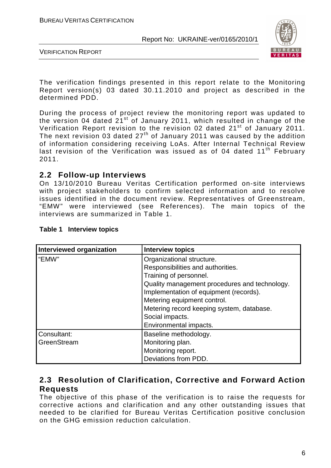

VERIFICATION REPORT

The verification findings presented in this report relate to the Monitoring Report version(s) 03 dated 30.11.2010 and project as described in the determined PDD.

During the process of project review the monitoring report was updated to the version 04 dated  $21^{st}$  of January 2011, which resulted in change of the Verification Report revision to the revision 02 dated 21<sup>st</sup> of January 2011. The next revision 03 dated  $27<sup>th</sup>$  of January 2011 was caused by the addition of information considering receiving LoAs. After Internal Technical Review last revision of the Verification was issued as of 04 dated 11<sup>th</sup> February 2011.

#### **2.2 Follow-up Interviews**

On 13/10/2010 Bureau Veritas Certification performed on-site interviews with project stakeholders to confirm selected information and to resolve issues identified in the document review. Representatives of Greenstream, "EMW" were interviewed (see References). The main topics of the interviews are summarized in Table 1.

| Interviewed organization | <b>Interview topics</b>                       |
|--------------------------|-----------------------------------------------|
| l "EMW"                  | Organizational structure.                     |
|                          | Responsibilities and authorities.             |
|                          | Training of personnel.                        |
|                          | Quality management procedures and technology. |
|                          | Implementation of equipment (records).        |
|                          | Metering equipment control.                   |
|                          | Metering record keeping system, database.     |
|                          | Social impacts.                               |
|                          | Environmental impacts.                        |
| Consultant:              | Baseline methodology.                         |
| GreenStream              | Monitoring plan.                              |
|                          | Monitoring report.                            |
|                          | Deviations from PDD.                          |

#### **Table 1 Interview topics**

## **2.3 Resolution of Clarification, Corrective and Forward Action Requests**

The objective of this phase of the verification is to raise the requests for corrective actions and clarification and any other outstanding issues that needed to be clarified for Bureau Veritas Certification positive conclusion on the GHG emission reduction calculation.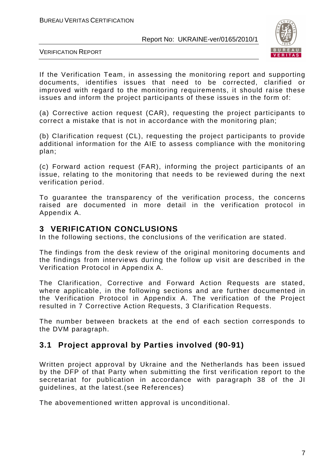

VERIFICATION REPORT

If the Verification Team, in assessing the monitoring report and supporting documents, identifies issues that need to be corrected, clarified or improved with regard to the monitoring requirements, it should raise these issues and inform the project participants of these issues in the form of:

(a) Corrective action request (CAR), requesting the project participants to correct a mistake that is not in accordance with the monitoring plan;

(b) Clarification request (CL), requesting the project participants to provide additional information for the AIE to assess compliance with the monitoring plan;

(c) Forward action request (FAR), informing the project participants of an issue, relating to the monitoring that needs to be reviewed during the next verification period.

To guarantee the transparency of the verification process, the concerns raised are documented in more detail in the verification protocol in Appendix A.

#### **3 VERIFICATION CONCLUSIONS**

In the following sections, the conclusions of the verification are stated.

The findings from the desk review of the original monitoring documents and the findings from interviews during the follow up visit are described in the Verification Protocol in Appendix A.

The Clarification, Corrective and Forward Action Requests are stated, where applicable, in the following sections and are further documented in the Verification Protocol in Appendix A. The verification of the Project resulted in 7 Corrective Action Requests, 3 Clarification Requests.

The number between brackets at the end of each section corresponds to the DVM paragraph.

## **3.1 Project approval by Parties involved (90-91)**

Written project approval by Ukraine and the Netherlands has been issued by the DFP of that Party when submitting the first verification report to the secretariat for publication in accordance with paragraph 38 of the JI guidelines, at the latest.(see References)

The abovementioned written approval is unconditional.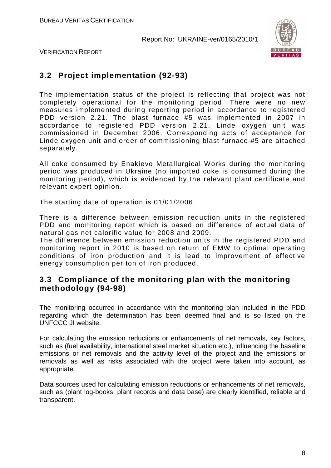

VERIFICATION REPORT

## **3.2 Project implementation (92-93)**

The implementation status of the project is reflecting that project was not completely operational for the monitoring period. There were no new measures implemented during reporting period in accordance to registered PDD version 2.21. The blast furnace #5 was implemented in 2007 in accordance to registered PDD version 2.21. Linde oxygen unit was commissioned in December 2006. Corresponding acts of acceptance for Linde oxygen unit and order of commissioning blast furnace #5 are attached separately.

All coke consumed by Enakievo Metallurgical Works during the monitoring period was produced in Ukraine (no imported coke is consumed during the monitoring period), which is evidenced by the relevant plant certificate and relevant expert opinion.

The starting date of operation is 01/01/2006.

There is a difference between emission reduction units in the registered PDD and monitoring report which is based on difference of actual data of natural gas net calorific value for 2008 and 2009.

The difference between emission reduction units in the registered PDD and monitoring report in 2010 is based on return of EMW to optimal operating conditions of iron production and it is lead to improvement of effective energy consumption per ton of iron produced.

#### **3.3 Compliance of the monitoring plan with the monitoring methodology (94-98)**

The monitoring occurred in accordance with the monitoring plan included in the PDD regarding which the determination has been deemed final and is so listed on the UNFCCC JI website.

For calculating the emission reductions or enhancements of net removals, key factors, such as (fuel availability, international steel market situation etc.), influencing the baseline emissions or net removals and the activity level of the project and the emissions or removals as well as risks associated with the project were taken into account, as appropriate.

Data sources used for calculating emission reductions or enhancements of net removals, such as (plant log-books, plant records and data base) are clearly identified, reliable and transparent.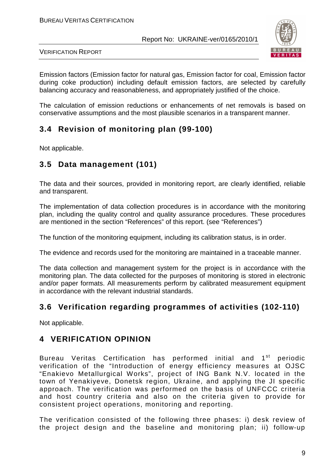

VERIFICATION REPORT

Emission factors (Emission factor for natural gas, Emission factor for coal, Emission factor during coke production) including default emission factors, are selected by carefully balancing accuracy and reasonableness, and appropriately justified of the choice.

The calculation of emission reductions or enhancements of net removals is based on conservative assumptions and the most plausible scenarios in a transparent manner.

## **3.4 Revision of monitoring plan (99-100)**

Not applicable.

## **3.5 Data management (101)**

The data and their sources, provided in monitoring report, are clearly identified, reliable and transparent.

The implementation of data collection procedures is in accordance with the monitoring plan, including the quality control and quality assurance procedures. These procedures are mentioned in the section "References" of this report. (see "References")

The function of the monitoring equipment, including its calibration status, is in order.

The evidence and records used for the monitoring are maintained in a traceable manner.

The data collection and management system for the project is in accordance with the monitoring plan. The data collected for the purposes of monitoring is stored in electronic and/or paper formats. All measurements perform by calibrated measurement equipment in accordance with the relevant industrial standards.

## **3.6 Verification regarding programmes of activities (102-110)**

Not applicable.

## **4 VERIFICATION OPINION**

Bureau Veritas Certification has performed initial and 1<sup>st</sup> periodic verification of the "Introduction of energy efficiency measures at OJSC "Enakievo Metallurgical Works", project of ING Bank N.V. located in the town of Yenakiyeve, Donetsk region, Ukraine, and applying the JI specific approach. The verification was performed on the basis of UNFCCC criteria and host country criteria and also on the criteria given to provide for consistent project operations, monitoring and reporting.

The verification consisted of the following three phases: i) desk review of the project design and the baseline and monitoring plan; ii) follow-up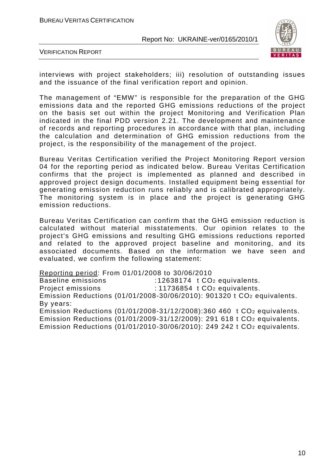

VERIFICATION REPORT

interviews with project stakeholders; iii) resolution of outstanding issues and the issuance of the final verification report and opinion.

The management of "EMW" is responsible for the preparation of the GHG emissions data and the reported GHG emissions reductions of the project on the basis set out within the project Monitoring and Verification Plan indicated in the final PDD version 2.21. The development and maintenance of records and reporting procedures in accordance with that plan, including the calculation and determination of GHG emission reductions from the project, is the responsibility of the management of the project.

Bureau Veritas Certification verified the Project Monitoring Report version 04 for the reporting period as indicated below. Bureau Veritas Certification confirms that the project is implemented as planned and described in approved project design documents. Installed equipment being essential for generating emission reduction runs reliably and is calibrated appropriately. The monitoring system is in place and the project is generating GHG emission reductions.

Bureau Veritas Certification can confirm that the GHG emission reduction is calculated without material misstatements. Our opinion relates to the project's GHG emissions and resulting GHG emissions reductions reported and related to the approved project baseline and monitoring, and its associated documents. Based on the information we have seen and evaluated, we confirm the following statement:

Reporting period: From 01/01/2008 to 30/06/2010

Baseline emissions : 12638174 t CO<sub>2</sub> equivalents.

Project emissions : 11736854 t CO<sub>2</sub> equivalents.

Emission Reductions (01/01/2008-30/06/2010): 901320 t CO2 equivalents. By years:

Emission Reductions (01/01/2008-31/12/2008):360 460 t CO2 equivalents. Emission Reductions (01/01/2009-31/12/2009): 291 618 t CO2 equivalents. Emission Reductions (01/01/2010-30/06/2010): 249 242 t CO2 equivalents.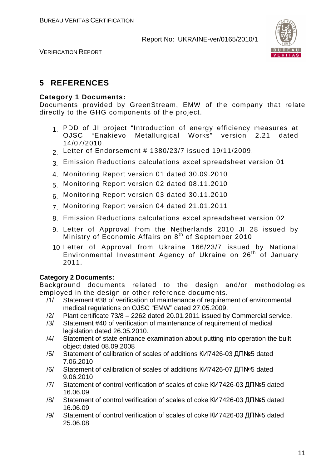

VERIFICATION REPORT

## **5 REFERENCES**

#### **Category 1 Documents:**

Documents provided by GreenStream, EMW of the company that relate directly to the GHG components of the project.

- 1. PDD of JI project "Introduction of energy efficiency measures at<br>OJSC "Enakievo Metallurgical Works" version 2.21 dated OJSC "Enakievo Metallurgical Works" 14/07/2010.
- 2. Letter of Endorsement # 1380/23/7 issued 19/11/2009.
- 3. Emission Reductions calculations excel spreadsheet version 01
- 4. Monitoring Report version 01 dated 30.09.2010
- 5. Monitoring Report version 02 dated 08.11.2010
- 6. Monitoring Report version 03 dated 30.11.2010
- 7. Monitoring Report version 04 dated 21.01.2011
- 8. Emission Reductions calculations excel spreadsheet version 02
- 9. Letter of Approval from the Netherlands 2010 JI 28 issued by Ministry of Economic Affairs on 8<sup>th</sup> of September 2010
- 10. Letter of Approval from Ukraine 166/23/7 issued by National Environmental Investment Agency of Ukraine on 26<sup>th</sup> of January 2011.

#### **Category 2 Documents:**

Background documents related to the design and/or methodologies employed in the design or other reference documents.

- /1/ Statement #38 of verification of maintenance of requirement of environmental medical regulations on OJSC "EMW" dated 27.05.2009.
- /2/ Plant certificate 73/8 2262 dated 20.01.2011 issued by Commercial service.
- /3/ Statement #40 of verification of maintenance of requirement of medical legislation dated 26.05.2010.
- /4/ Statement of state entrance examination about putting into operation the built object dated 08.09.2008
- /5/ Statement of calibration of scales of additions КИ7426-03 ДП№5 dated 7.06.2010
- /6/ Statement of calibration of scales of additions КИ7426-07 ДП№5 dated 9.06.2010
- /7/ Statement of control verification of scales of coke КИ7426-03 ДП№5 dated 16.06.09
- /8/ Statement of control verification of scales of coke КИ7426-03 ДП№5 dated 16.06.09
- /9/ Statement of control verification of scales of coke КИ7426-03 ДП№5 dated 25.06.08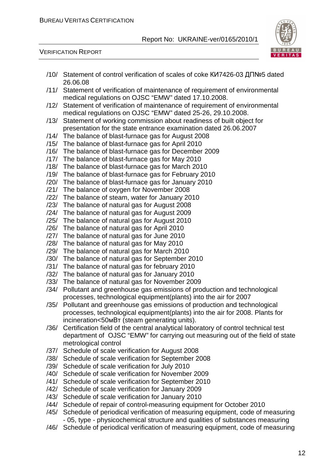

|      | /10/ Statement of control verification of scales of coke КИ7426-03 ДП№5 dated      |
|------|------------------------------------------------------------------------------------|
|      | 26.06.08                                                                           |
| /11/ | Statement of verification of maintenance of requirement of environmental           |
|      | medical regulations on OJSC "EMW" dated 17.10.2008.                                |
| /12/ | Statement of verification of maintenance of requirement of environmental           |
|      | medical regulations on OJSC "EMW" dated 25-26, 29.10.2008.                         |
|      |                                                                                    |
| /13/ | Statement of working commission about readiness of built object for                |
|      | presentation for the state entrance examination dated 26.06.2007                   |
|      | /14/ The balance of blast-furnace gas for August 2008                              |
|      | /15/ The balance of blast-furnace gas for April 2010                               |
|      | /16/ The balance of blast-furnace gas for December 2009                            |
|      | /17/ The balance of blast-furnace gas for May 2010                                 |
|      | /18/ The balance of blast-furnace gas for March 2010                               |
|      |                                                                                    |
|      | /19/ The balance of blast-furnace gas for February 2010                            |
| /20/ | The balance of blast-furnace gas for January 2010                                  |
| /21/ | The balance of oxygen for November 2008                                            |
| /22/ | The balance of steam, water for January 2010                                       |
| /23/ | The balance of natural gas for August 2008                                         |
| /24/ | The balance of natural gas for August 2009                                         |
| /25/ | The balance of natural gas for August 2010                                         |
| /26/ | The balance of natural gas for April 2010                                          |
|      |                                                                                    |
| /27/ | The balance of natural gas for June 2010                                           |
| /28/ | The balance of natural gas for May 2010                                            |
| /29/ | The balance of natural gas for March 2010                                          |
| /30/ | The balance of natural gas for September 2010                                      |
| /31/ | The balance of natural gas for february 2010                                       |
| /32/ | The balance of natural gas for January 2010                                        |
| /33/ | The balance of natural gas for November 2009                                       |
| /34/ | Pollutant and greenhouse gas emissions of production and technological             |
|      | processes, technological equipment(plants) into the air for 2007                   |
| /35/ | Pollutant and greenhouse gas emissions of production and technological             |
|      |                                                                                    |
|      | processes, technological equipment(plants) into the air for 2008. Plants for       |
|      | incineration<50mBT (steam generating units).                                       |
| /36/ | Certification field of the central analytical laboratory of control technical test |
|      | department of OJSC "EMW" for carrying out measuring out of the field of state      |
|      | metrological control                                                               |
| /37/ | Schedule of scale verification for August 2008                                     |
| /38/ | Schedule of scale verification for September 2008                                  |
| /39/ |                                                                                    |
|      | Schedule of scale verification for July 2010                                       |
| /40/ | Schedule of scale verification for November 2009                                   |
| /41/ | Schedule of scale verification for September 2010                                  |
| /42/ | Schedule of scale verification for January 2009                                    |
| /43/ | Schedule of scale verification for January 2010                                    |
| /44/ | Schedule of repair of control-measuring equipment for October 2010                 |
| /45/ | Schedule of periodical verification of measuring equipment, code of measuring      |
|      | - 05, type - physicochemical structure and qualities of substances measuring       |
| /46/ | Schedule of periodical verification of measuring equipment, code of measuring      |
|      |                                                                                    |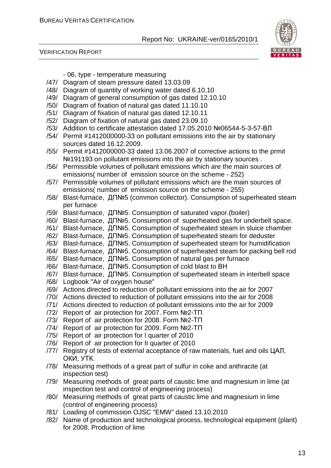

#### VERIFICATION REPORT

|      | - 06, type - temperature measuring                                                       |
|------|------------------------------------------------------------------------------------------|
| /47/ | Diagram of steam pressure dated 13.03.09                                                 |
| /48/ | Diagram of quantity of working water dated 6.10.10                                       |
| /49/ | Diagram of general consumption of gas dated 12.10.10                                     |
| /50/ | Diagram of fixation of natural gas dated 11.10.10                                        |
| /51/ | Diagram of fixation of natural gas dated 12.10.11                                        |
| /52/ | Diagram of fixation of natural gas dated 23.09.10                                        |
| /53/ | Addition to certificate attestation dated 17.05.2010 №06544-5-3-57-ВЛ                    |
| /54/ | Permit #1412000000-33 on pollutant emissions into the air by stationary                  |
|      | sources dated 16.12.2009.                                                                |
| /55/ | Permit #1412000000-33 dated 13.06.2007 of corrective actions to the prmit                |
|      | Nº191193 on pollutant emissions into the air by stationary sources.                      |
| /56/ | Permissible volumes of pollutant emissions which are the main sources of                 |
|      | emissions(number of emission source on the scheme - 252)                                 |
| /57/ | Permissible volumes of pollutant emissions which are the main sources of                 |
|      | emissions(number of emission source on the scheme - 255)                                 |
| /58/ | Blast-furnace, ДП№5 (common collector). Consumption of superheated steam                 |
|      | per furnace                                                                              |
| /59/ | Blast-furnace, $\Box \Box \Box \Box$ Consumption of saturated vapor. (boiler)            |
| /60/ | Blast-furnace, ДП№5. Consumption of superheated gas for underbell space.                 |
| /61/ | Blast-furnace, ДП№5. Consumption of superheated steam in sluice chamber                  |
| /62/ | Blast-furnace, ДП№5. Consumption of superheated steam for deduster                       |
| /63/ | Blast-furnace, $\Box \Box \Box \Box$ Consumption of superheated steam for humidification |
| /64/ | Blast-furnace, ДП№5. Consumption of superheated steam for packing bell rod               |
| /65/ | Blast-furnace, ДП№5. Consumption of natural gas per furnace                              |
| /66/ | Blast-furnace, ДП№5. Consumption of cold blast to BH                                     |
| /67/ | Blast-furnace, ДП№5. Consumption of superheated steam in interbell space                 |
| /68/ | Logbook "Air of oxygen house"                                                            |
| /69/ | Actions directed to reduction of pollutant emissions into the air for 2007               |
| /70/ | Actions directed to reduction of pollutant emissions into the air for 2008               |
| /71/ | Actions directed to reduction of pollutant emissions into the air for 2009               |
| /72/ | Report of air protection for 2007. Form №2-TΠ                                            |
| /73/ | Report of air protection for 2008. Form №2-TΠ                                            |
| /74/ | Report of air protection for 2009. Form №2-TΠ                                            |
| /75/ | Report of air protection for I quarter of 2010                                           |
| /76/ | Report of air protection for II quarter of 2010                                          |
| /77/ | Registry of tests of external acceptance of raw materials, fuel and oils ЦАЛ,            |
|      | OKN, YTK.                                                                                |
| /78/ | Measuring methods of a great part of sulfur in coke and anthracite (at                   |
|      | inspection test)                                                                         |
| /79/ | Measuring methods of great parts of caustic lime and magnesium in lime (at               |
|      | inspection test and control of engineering process)                                      |
| /80/ | Measuring methods of great parts of caustic lime and magnesium in lime                   |
|      | (control of engineering process)                                                         |
| /81/ | Loading of commission OJSC "EMW" dated 13.10.2010                                        |
| /82/ | Name of production and technological process, technological equipment (plant)            |

for 2008. Production of lime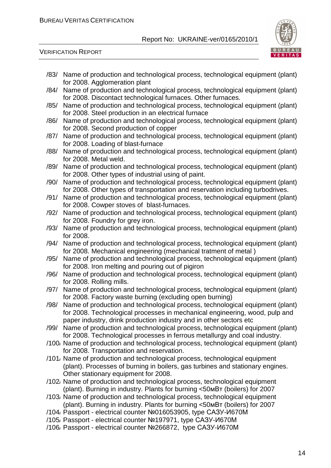

| /83/ | Name of production and technological process, technological equipment (plant)<br>for 2008. Agglomeration plant                                                                                                                    |
|------|-----------------------------------------------------------------------------------------------------------------------------------------------------------------------------------------------------------------------------------|
| /84/ | Name of production and technological process, technological equipment (plant)<br>for 2008. Discontact technological furnaces. Other furnaces.                                                                                     |
| /85/ | Name of production and technological process, technological equipment (plant)<br>for 2008. Steel production in an electrical furnace                                                                                              |
| /86/ | Name of production and technological process, technological equipment (plant)<br>for 2008. Second production of copper                                                                                                            |
| /87/ | Name of production and technological process, technological equipment (plant)<br>for 2008. Loading of blast-furnace                                                                                                               |
| /88/ | Name of production and technological process, technological equipment (plant)<br>for 2008. Metal weld.                                                                                                                            |
| /89/ | Name of production and technological process, technological equipment (plant)<br>for 2008. Other types of industrial using of paint.                                                                                              |
| /90/ | Name of production and technological process, technological equipment (plant)<br>for 2008. Other types of transportation and reservation including turbodrives.                                                                   |
| /91/ | Name of production and technological process, technological equipment (plant)<br>for 2008. Cowper stoves of blast-furnaces.                                                                                                       |
| /92/ | Name of production and technological process, technological equipment (plant)<br>for 2008. Foundry for grey iron.                                                                                                                 |
| /93/ | Name of production and technological process, technological equipment (plant)<br>for 2008.                                                                                                                                        |
| /94/ | Name of production and technological process, technological equipment (plant)<br>for 2008. Mechanical engineering (mechanical tratment of metal)                                                                                  |
| /95/ | Name of production and technological process, technological equipment (plant)<br>for 2008. Iron melting and pouring out of pigiron                                                                                                |
| /96/ | Name of production and technological process, technological equipment (plant)<br>for 2008. Rolling mills.                                                                                                                         |
| /97/ | Name of production and technological process, technological equipment (plant)<br>for 2008. Factory waste burning (excluding open burning)                                                                                         |
| /98/ | Name of production and technological process, technological equipment (plant)<br>for 2008. Technological processes in mechanical engineering, wood, pulp and                                                                      |
| /99/ | paper industry, drink production industry and in other sectors etc<br>Name of production and technological process, technological equipment (plant)<br>for 2008. Technological processes in ferrous metallurgy and coal industry. |
|      | /100, Name of production and technological process, technological equipment (plant)<br>for 2008. Transportation and reservation.                                                                                                  |
|      | /101/ Name of production and technological process, technological equipment<br>(plant). Processes of burning in boilers, gas turbines and stationary engines.<br>Other stationary equipment for 2008.                             |
|      | /102 Name of production and technological process, technological equipment<br>(plant). Burning in industry. Plants for burning <50 MBT (boilers) for 2007                                                                         |
|      | /103, Name of production and technological process, technological equipment<br>(plant). Burning in industry. Plants for burning <50 MBT (boilers) for 2007                                                                        |
|      | /104/ Passport - electrical counter Nº016053905, type CA3Y-И670M                                                                                                                                                                  |
|      | /105/ Passport - electrical counter Nº197971, type CA3Y-И670M                                                                                                                                                                     |
|      | /106/ Passport - electrical counter Nº266872, type CA3Y-И670M                                                                                                                                                                     |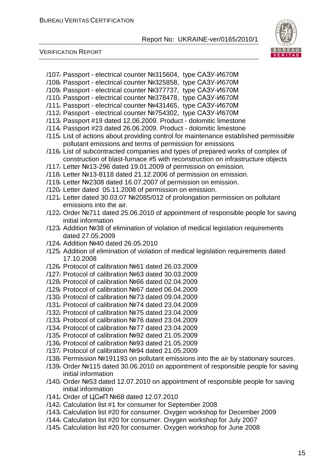

- /107/ Passport electrical counter №315604, type САЗУ-И670М
- /108/ Passport electrical counter №325858, type САЗУ-И670М
- /109/ Passport electrical counter №377737, type САЗУ-И670М
- /110/ Passport electrical counter №378478, type САЗУ-И670М
- /111/ Passport electrical counter №431465, type САЗУ-И670М /112/ Passport - electrical counter №754302, type САЗУ-И670М
- /113/ Passport #19 dated 12.06.2009. Product dolomitic limestone
- 
- /114/ Passport #23 dated 26.06.2009. Product dolomitic limestone
- /115/ List of actions about providing control for maintenance established permissible pollutant emissions and terms of permission for emissions
- /116/ List of subcontracted companies and types of prepared works of complex of construction of blast-furnace #5 with reconstruction on infrastructure objects
- /117/ Letter №13-296 dated 19.01.2009 of permission on emission.
- /118/ Letter №13-8118 dated 21.12.2006 of permission on emission.
- /119/ Letter №2308 dated 16.07.2007 of permission on emission.
- /120/ Letter dated 05.11.2008 of permission on emission.
- /121/ Letter dated 30.03.07 №2085/012 of prolongation permission on pollutant emissions into the air.
- /122/ Order №711 dated 25.06.2010 of appointment of responsible people for saving initial information
- /123/ Addition №38 of elimination of violation of medical legislation requirements dated 27.05.2009
- /124/ Addition №40 dated 26.05.2010
- /125/ Addition of elimination of violation of medical legislation requirements dated 17.10.2008
- /126/ Protocol of calibration №61 dated 26.03.2009
- /127/ Protocol of calibration №63 dated 30.03.2009
- /128/ Protocol of calibration №66 dated 02.04.2009
- /129/ Protocol of calibration №67 dated 06.04.2009
- /130/ Protocol of calibration №73 dated 09.04.2009
- /131/ Protocol of calibration №74 dated 23.04.2009
- /132/ Protocol of calibration №75 dated 23.04.2009
- /133/ Protocol of calibration №76 dated 23.04.2009
- /134/ Protocol of calibration №77 dated 23.04.2009
- /135/ Protocol of calibration №92 dated 21.05.2009
- /136/ Protocol of calibration №93 dated 21.05.2009
- /137/ Protocol of calibration №94 dated 21.05.2009
- /138/ Permission №191193 on pollutant emissions into the air by stationary sources.
- /139/ Order №115 dated 30.06.2010 on appointment of responsible people for saving initial information
- /140/ Order №53 dated 12.07.2010 on appointment of responsible people for saving initial information
- /141/ Order of ЦСиП №68 dated 12.07.2010
- /142/ Calculation list #1 for consumer for September 2008
- /143/ Calculation list #20 for consumer. Oxygen workshop for December 2009
- /144/ Calculation list #20 for consumer. Oxygen workshop for July 2007
- /145/ Calculation list #20 for consumer. Oxygen workshop for June 2008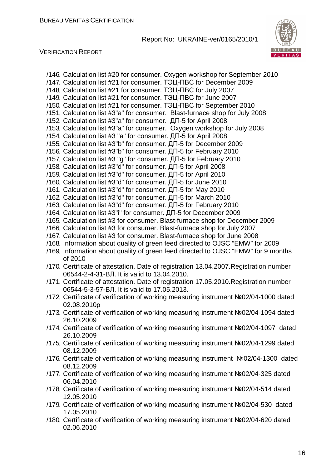

| /146/ Calculation list #20 for consumer. Oxygen workshop for September 2010            |
|----------------------------------------------------------------------------------------|
| /147, Calculation list #21 for consumer. T3LI-TBC for December 2009                    |
| /148/ Calculation list #21 for consumer. T9LI-TBC for July 2007                        |
| /149, Calculation list #21 for consumer. T3LI-TIBC for June 2007                       |
| /150/ Calculation list #21 for consumer. TOLI-TIBC for September 2010                  |
| /151/ Calculation list #3"a" for consumer. Blast-furnace shop for July 2008            |
| /152, Calculation list #3"a" for consumer. ДП-5 for April 2008                         |
| /153/ Calculation list #3"a" for consumer. Oxygen workshop for July 2008               |
| /154, Calculation list #3 "a" for consumer. ДП-5 for April 2008                        |
| /155, Calculation list #3"b" for consumer. ДП-5 for December 2009                      |
| /156, Calculation list #3"b" for consumer. ДП-5 for February 2010                      |
| /157, Calculation list #3 "g" for consumer. ДП-5 for February 2010                     |
| /158, Calculation list #3"d" for consumer. ДП-5 for April 2008                         |
| /159, Calculation list #3"d" for consumer. ДП-5 for April 2010                         |
| /160, Calculation list #3"d" for consumer. ДП-5 for June 2010                          |
| /161, Calculation list #3"d" for consumer. ДП-5 for May 2010                           |
| /162 Calculation list #3"d" for consumer. ДП-5 for March 2010                          |
| /163, Calculation list #3"d" for consumer. ДП-5 for February 2010                      |
| /164, Calculation list #3"i" for consumer. ДП-5 for December 2009                      |
| /165/ Calculation list #3 for consumer. Blast-furnace shop for December 2009           |
| /166/ Calculation list #3 for consumer. Blast-furnace shop for July 2007               |
| /167/ Calculation list #3 for consumer. Blast-furnace shop for June 2008               |
| /168/ Information about quality of green feed directed to OJSC "EMW" for 2009          |
| /169, Information about quality of green feed directed to OJSC "EMW" for 9 months      |
| of 2010                                                                                |
| /170, Certificate of attestation. Date of registration 13.04.2007. Registration number |
| 06544-2-4-31-ВЛ. It is valid to 13.04.2010.                                            |
| /171/ Certificate of attestation. Date of registration 17.05.2010. Registration number |
| 06544-5-3-57-ВЛ. It is valid to 17.05.2013.                                            |
| /172 Certificate of verification of working measuring instrument Nº02/04-1000 dated    |
| 02.08.2010p                                                                            |
| /173, Certificate of verification of working measuring instrument Nº02/04-1094 dated   |
| 26.10.2009                                                                             |
| /174, Certificate of verification of working measuring instrument Nº02/04-1097 dated   |
| 26.10.2009                                                                             |
| /175/ Certificate of verification of working measuring instrument Nº02/04-1299 dated   |
| 08.12.2009                                                                             |
| /176, Certificate of verification of working measuring instrument Nº02/04-1300 dated   |
| 08.12.2009                                                                             |
| /177, Certificate of verification of working measuring instrument Nº02/04-325 dated    |
| 06.04.2010                                                                             |
| /178, Certificate of verification of working measuring instrument Nº02/04-514 dated    |
| 12.05.2010                                                                             |
| /179, Certificate of verification of working measuring instrument Nº02/04-530 dated    |
| 17.05.2010                                                                             |
| /180, Certificate of verification of working measuring instrument Nº02/04-620 dated    |
| 02.06.2010                                                                             |
|                                                                                        |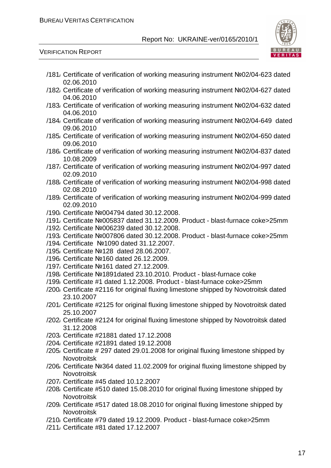

- /181/ Certificate of verification of working measuring instrument №02/04-623 dated 02.06.2010
- /182/ Certificate of verification of working measuring instrument №02/04-627 dated 04.06.2010
- /183/ Certificate of verification of working measuring instrument №02/04-632 dated 04.06.2010
- /184/ Certificate of verification of working measuring instrument №02/04-649 dated 09.06.2010
- /185/ Certificate of verification of working measuring instrument №02/04-650 dated 09.06.2010
- /186/ Certificate of verification of working measuring instrument №02/04-837 dated 10.08.2009
- /187/ Certificate of verification of working measuring instrument №02/04-997 dated 02.09.2010
- /188/ Certificate of verification of working measuring instrument №02/04-998 dated 02.08.2010
- /189/ Certificate of verification of working measuring instrument №02/04-999 dated 02.09.2010
- /190/ Certificate №004794 dated 30.12.2008.
- /191/ Certificate №005837 dated 31.12.2009. Product blast-furnace coke>25mm
- /192/ Certificate №006239 dated 30.12.2008.
- /193/ Certificate №007806 dated 30.12.2008. Product blast-furnace coke>25mm
- /194/ Certificate №1090 dated 31.12.2007.
- /195/ Certificate №128 dated 28.06.2007.
- /196/ Certificate №160 dated 26.12.2009.
- /197/ Certificate №161 dated 27.12.2009.
- /198/ Certificate №1891dated 23.10.2010. Product blast-furnace coke
- /199/ Certificate #1 dated 1.12.2008. Product blast-furnace coke>25mm
- /200/ Certificate #2116 for original fluxing limestone shipped by Novotroitsk dated 23.10.2007
- /201/ Certificate #2125 for original fluxing limestone shipped by Novotroitsk dated 25.10.2007
- /202/ Certificate #2124 for original fluxing limestone shipped by Novotroitsk dated 31.12.2008
- /203/ Certificate #21881 dated 17.12.2008
- /204/ Certificate #21891 dated 19.12.2008
- /205/ Certificate # 297 dated 29.01.2008 for original fluxing limestone shipped by **Novotroitsk**
- /206/ Certificate №364 dated 11.02.2009 for original fluxing limestone shipped by Novotroitsk
- /207/ Certificate #45 dated 10.12.2007
- /208/ Certificate #510 dated 15.08.2010 for original fluxing limestone shipped by **Novotroitsk**
- /209/ Certificate #517 dated 18.08.2010 for original fluxing limestone shipped by Novotroitsk
- /210/ Certificate #79 dated 19.12.2009. Product blast-furnace coke>25mm
- /211/ Certificate #81 dated 17.12.2007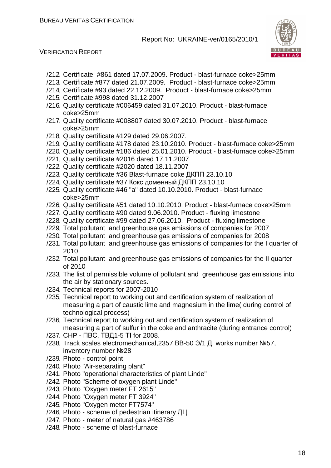



- /212/ Certificate #861 dated 17.07.2009. Product blast-furnace coke>25mm
- /213/ Certificate #877 dated 21.07.2009. Product blast-furnace coke>25mm
- /214/ Certificate #93 dated 22.12.2009. Product blast-furnace coke>25mm
- /215/ Certificate #998 dated 31.12.2007
- /216/ Quality certificate #006459 dated 31.07.2010. Product blast-furnace coke>25mm
- /217/ Quality certificate #008807 dated 30.07.2010. Product blast-furnace coke>25mm
- /218/ Quality certificate #129 dated 29.06.2007.
- /219/ Quality certificate #178 dated 23.10.2010. Product blast-furnace coke>25mm
- /220/ Quality certificate #186 dated 25.01.2010. Product blast-furnace coke>25mm
- /221/ Quality certificate #2016 dared 17.11.2007
- /222/ Quality certificate #2020 dated 18.11.2007
- /223/ Quality certificate #36 Blast-furnace coke ДКПП 23.10.10
- /224/ Quality certificate #37 Кокс доменный ДКПП 23.10.10
- /225/ Quality certificate #46 "a" dated 10.10.2010. Product blast-furnace coke>25mm
- /226/ Quality certificate #51 dated 10.10.2010. Product blast-furnace coke>25mm
- /227/ Quality certificate #90 dated 9.06.2010. Product fluxing limestone
- /228/ Quality certificate #99 dated 27.06.2010. Product fluxing limestone
- /229/ Total pollutant and greenhouse gas emissions of companies for 2007
- /230/ Total pollutant and greenhouse gas emissions of companies for 2008
- /231/ Total pollutant and greenhouse gas emissions of companies for the I quarter of 2010
- /232/ Total pollutant and greenhouse gas emissions of companies for the II quarter of 2010
- /233/ The list of permissible volume of pollutant and greenhouse gas emissions into the air by stationary sources.
- /234/ Technical reports for 2007-2010
- /235/ Technical report to working out and certification system of realization of measuring a part of caustic lime and magnesium in the lime( during control of technological process)
- /236/ Technical report to working out and certification system of realization of measuring a part of sulfur in the coke and anthracite (during entrance control)
- /237/ CHP ПВС, ТВД1-5 ТІ for 2008.
- /238/ Track scales electromechanical,2357 ВВ-50 Э/1 Д, works number №57, inventory number №28
- /239/ Photo control point
- /240/ Photo "Air-separating plant"
- /241/ Photo "operational characteristics of plant Linde"
- /242/ Photo "Scheme of oxygen plant Linde"
- /243/ Photo "Oxygen meter FT 2615"
- /244/ Photo "Oxygen meter FT 3924"
- /245/ Photo "Oxygen meter FT7574"
- /246/ Photo scheme of pedestrian itinerary ДЦ
- /247/ Photo meter of natural gas #463786
- /248/ Photo scheme of blast-furnace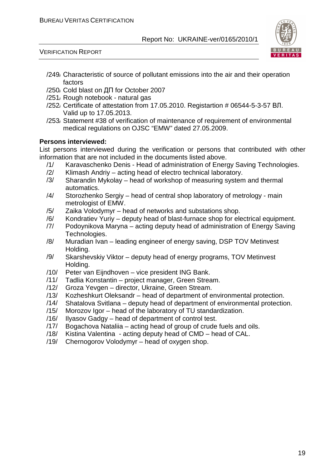

VERIFICATION REPORT

- /249/ Сharacteristic of source of pollutant emissions into the air and their operation factors
- /250/ Cold blast on ДП for October 2007
- /251/ Rough notebook natural gas
- /252/ Certificate of attestation from 17.05.2010. Registartion # 06544-5-3-57 ВЛ. Valid up to 17.05.2013.
- /253/ Statement #38 of verification of maintenance of requirement of environmental medical regulations on OJSC "EMW" dated 27.05.2009.

#### **Persons interviewed:**

List persons interviewed during the verification or persons that contributed with other information that are not included in the documents listed above.

- /1/ Karavaschenko Denis Head of administration of Energy Saving Technologies.
- /2/ Klimash Andriy acting head of electro technical laboratory.
- /3/ Sharandin Mykolay head of workshop of measuring system and thermal automatics.
- /4/ Storozhenko Sergiy head of central shop laboratory of metrology main metrologist of EMW.
- /5/ Zaika Volodymyr head of networks and substations shop.
- /6/ Kondratiev Yuriy deputy head of blast-furnace shop for electrical equipment.
- /7/ Podoynikova Maryna acting deputy head of administration of Energy Saving Technologies.
- /8/ Muradian Ivan leading engineer of energy saving, DSP TOV Metinvest Holding.
- /9/ Skarshevskiy Viktor deputy head of energy programs, TOV Metinvest Holding.
- /10/ Peter van Eijndhoven vice president ING Bank.
- /11/ Tadlia Konstantin project manager, Green Stream.
- /12/ Groza Yevgen director, Ukraine, Green Stream.
- /13/ Kozheshkurt Oleksandr head of department of environmental protection.
- /14/ Shatalova Svitlana deputy head of department of environmental protection.
- /15/ Morozov Igor head of the laboratory of TU standardization.
- /16/ Ilyasov Gadgy head of department of control test.
- /17/ Bogachova Nataliia acting head of group of crude fuels and oils.
- /18/ Kistina Valentina acting deputy head of CMD head of CAL.
- /19/ Chernogorov Volodymyr head of oxygen shop.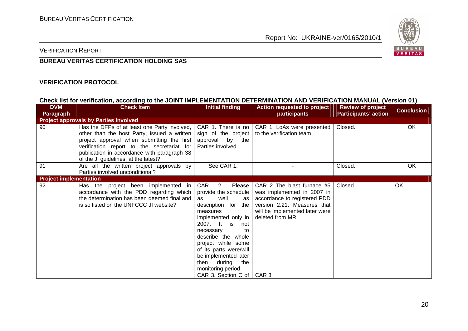

VERIFICATION REPORT

#### **BUREAU VERITAS CERTIFICATION HOLDING SAS**

#### **VERIFICATION PROTOCOL**

#### **Check list for verification, according to the JOINT IMPLEMENTATION DETERMINATION AND VERIFICATION MANUAL (Version 01)**

| <b>DVM</b>                    | <b>Check Item</b>                                                                                                                                                                                                                                                                | <b>Initial finding</b>                                                                                                                                                                                                                                                                                                                       | <b>Action requested to project</b>                                                                                                                                            | <b>Review of project</b>    | <b>Conclusion</b> |  |
|-------------------------------|----------------------------------------------------------------------------------------------------------------------------------------------------------------------------------------------------------------------------------------------------------------------------------|----------------------------------------------------------------------------------------------------------------------------------------------------------------------------------------------------------------------------------------------------------------------------------------------------------------------------------------------|-------------------------------------------------------------------------------------------------------------------------------------------------------------------------------|-----------------------------|-------------------|--|
| <b>Paragraph</b>              |                                                                                                                                                                                                                                                                                  |                                                                                                                                                                                                                                                                                                                                              | participants                                                                                                                                                                  | <b>Participants' action</b> |                   |  |
|                               | <b>Project approvals by Parties involved</b>                                                                                                                                                                                                                                     |                                                                                                                                                                                                                                                                                                                                              |                                                                                                                                                                               |                             |                   |  |
| 90                            | Has the DFPs of at least one Party involved,  <br>other than the host Party, issued a written<br>project approval when submitting the first<br>verification report to the secretariat for<br>publication in accordance with paragraph 38<br>of the JI guidelines, at the latest? | CAR 1. There is no<br>approval by the<br>Parties involved.                                                                                                                                                                                                                                                                                   | CAR 1. LoAs were presented<br>sign of the project $\vert$ to the verification team.                                                                                           | Closed.                     | OK                |  |
| 91                            | Are all the written project approvals by<br>Parties involved unconditional?                                                                                                                                                                                                      | See CAR 1.                                                                                                                                                                                                                                                                                                                                   |                                                                                                                                                                               | Closed.                     | <b>OK</b>         |  |
| <b>Project implementation</b> |                                                                                                                                                                                                                                                                                  |                                                                                                                                                                                                                                                                                                                                              |                                                                                                                                                                               |                             |                   |  |
| 92                            | Has the project been implemented in<br>accordance with the PDD regarding which<br>the determination has been deemed final and<br>is so listed on the UNFCCC JI website?                                                                                                          | CAR<br>2. Please  <br>provide the schedule<br>well<br>as<br>as l<br>description for the<br>measures<br>implemented only in<br>2007. It is<br>not<br>necessary<br>to<br>describe the whole<br>project while some<br>of its parts were/will<br>be implemented later<br>then during<br>the<br>monitoring period.<br>CAR 3. Section C of   CAR 3 | CAR 2 The blast furnace #5<br>was implemented in 2007 in<br>accordance to registered PDD<br>version 2.21. Measures that<br>will be implemented later were<br>deleted from MR. | Closed.                     | OK                |  |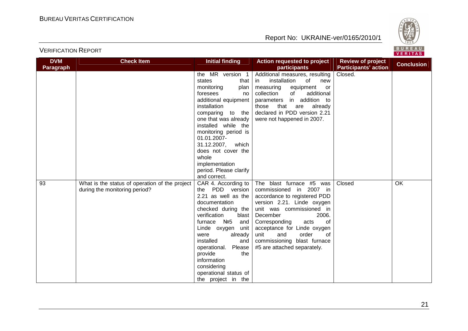

| <b>DVM</b><br><b>Paragraph</b> | <b>Check Item</b>                                                               | <b>Initial finding</b>                                                                                                                                                                                                                                                                                                                          | Action requested to project<br>participants                                                                                                                                                                                                                                                                                  | <b>Review of project</b><br><b>Participants' action</b> | <b>Conclusion</b> |
|--------------------------------|---------------------------------------------------------------------------------|-------------------------------------------------------------------------------------------------------------------------------------------------------------------------------------------------------------------------------------------------------------------------------------------------------------------------------------------------|------------------------------------------------------------------------------------------------------------------------------------------------------------------------------------------------------------------------------------------------------------------------------------------------------------------------------|---------------------------------------------------------|-------------------|
|                                |                                                                                 | the MR version 1<br>states<br>that I<br>monitoring<br>plan<br>foresees<br>no.<br>additional equipment                                                                                                                                                                                                                                           | Additional measures, resulting<br>installation<br>of<br>new<br>in.<br>measuring<br>equipment<br>or<br>of<br>additional<br>collection<br>in addition to<br>parameters                                                                                                                                                         | Closed.                                                 |                   |
|                                |                                                                                 | installation<br>comparing to the<br>one that was already<br>installed while the<br>monitoring period is<br>01.01.2007-<br>31.12.2007,<br>which                                                                                                                                                                                                  | that<br>those<br>are<br>already<br>declared in PDD version 2.21<br>were not happened in 2007.                                                                                                                                                                                                                                |                                                         |                   |
|                                |                                                                                 | does not cover the<br>whole<br>implementation<br>period. Please clarify<br>and correct.                                                                                                                                                                                                                                                         |                                                                                                                                                                                                                                                                                                                              |                                                         |                   |
| 93                             | What is the status of operation of the project<br>during the monitoring period? | CAR 4. According to $ $<br>the PDD version<br>2.21 as well as the<br>documentation<br>checked during the<br>verification<br>blast<br>furnace Nº5<br>and<br>Linde oxygen<br>unit<br>were<br>already<br>installed<br>and<br>Please<br>operational.<br>provide<br>the<br>information<br>considering<br>operational status of<br>the project in the | The blast furnace #5 was<br>commissioned in 2007 in<br>accordance to registered PDD<br>version 2.21. Linde oxygen<br>unit was commissioned in<br>2006.<br>December<br>Corresponding<br>acts<br>оf<br>acceptance for Linde oxygen<br>unit<br>and<br>order<br>of<br>commissioning blast furnace<br>#5 are attached separately. | Closed                                                  | <b>OK</b>         |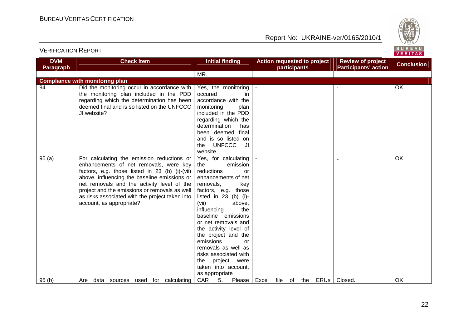

| <b>DVM</b><br>Paragraph | <b>Check Item</b>                               | <b>Initial finding</b>     |       |      | <b>Action requested to project</b><br>participants |     |             | <b>Review of project</b><br><b>Participants' action</b> | <b>Conclusion</b> |
|-------------------------|-------------------------------------------------|----------------------------|-------|------|----------------------------------------------------|-----|-------------|---------------------------------------------------------|-------------------|
|                         |                                                 |                            |       |      |                                                    |     |             |                                                         |                   |
|                         |                                                 | MR.                        |       |      |                                                    |     |             |                                                         |                   |
|                         | <b>Compliance with monitoring plan</b>          |                            |       |      |                                                    |     |             |                                                         |                   |
| 94                      | Did the monitoring occur in accordance with     | Yes, the monitoring        |       |      |                                                    |     |             |                                                         | OK                |
|                         | the monitoring plan included in the PDD         | occured<br>in.             |       |      |                                                    |     |             |                                                         |                   |
|                         | regarding which the determination has been      | accordance with the        |       |      |                                                    |     |             |                                                         |                   |
|                         | deemed final and is so listed on the UNFCCC     | monitoring<br>plan         |       |      |                                                    |     |             |                                                         |                   |
|                         | JI website?                                     | included in the PDD        |       |      |                                                    |     |             |                                                         |                   |
|                         |                                                 | regarding which the        |       |      |                                                    |     |             |                                                         |                   |
|                         |                                                 | determination<br>has       |       |      |                                                    |     |             |                                                         |                   |
|                         |                                                 | been deemed final          |       |      |                                                    |     |             |                                                         |                   |
|                         |                                                 | and is so listed on        |       |      |                                                    |     |             |                                                         |                   |
|                         |                                                 | <b>UNFCCC</b><br>JI<br>the |       |      |                                                    |     |             |                                                         |                   |
|                         |                                                 | website.                   |       |      |                                                    |     |             |                                                         |                   |
| 95(a)                   | For calculating the emission reductions or      | Yes, for calculating       |       |      |                                                    |     |             |                                                         | OK                |
|                         | enhancements of net removals, were key          | emission<br>the            |       |      |                                                    |     |             |                                                         |                   |
|                         | factors, e.g. those listed in 23 (b) (i)-(vii)  | reductions<br>or           |       |      |                                                    |     |             |                                                         |                   |
|                         | above, influencing the baseline emissions or    | enhancements of net        |       |      |                                                    |     |             |                                                         |                   |
|                         | net removals and the activity level of the      | removals,<br>key           |       |      |                                                    |     |             |                                                         |                   |
|                         | project and the emissions or removals as well   | factors, e.g. those        |       |      |                                                    |     |             |                                                         |                   |
|                         | as risks associated with the project taken into | listed in $23$ (b) (i)-    |       |      |                                                    |     |             |                                                         |                   |
|                         | account, as appropriate?                        | above,<br>(vii)            |       |      |                                                    |     |             |                                                         |                   |
|                         |                                                 | the<br>influencing         |       |      |                                                    |     |             |                                                         |                   |
|                         |                                                 | baseline emissions         |       |      |                                                    |     |             |                                                         |                   |
|                         |                                                 | or net removals and        |       |      |                                                    |     |             |                                                         |                   |
|                         |                                                 | the activity level of      |       |      |                                                    |     |             |                                                         |                   |
|                         |                                                 | the project and the        |       |      |                                                    |     |             |                                                         |                   |
|                         |                                                 | emissions<br>or            |       |      |                                                    |     |             |                                                         |                   |
|                         |                                                 | removals as well as        |       |      |                                                    |     |             |                                                         |                   |
|                         |                                                 | risks associated with      |       |      |                                                    |     |             |                                                         |                   |
|                         |                                                 | project were<br>the        |       |      |                                                    |     |             |                                                         |                   |
|                         |                                                 | taken into account,        |       |      |                                                    |     |             |                                                         |                   |
|                         |                                                 | as appropriate             |       |      |                                                    |     |             |                                                         |                   |
| 95(b)                   | for calculating<br>Are<br>data sources<br>used  | <b>CAR</b><br>5.<br>Please | Excel | file | of                                                 | the | <b>ERUS</b> | Closed.                                                 | OK                |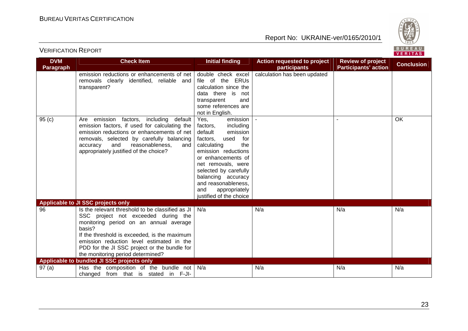

| <b>DVM</b>       | <b>Check Item</b>                                                                                                                                                                                                                                                                                                             | <b>Initial finding</b>                                                                                                                                                                                                                                                                                        | <b>Action requested to project</b> | <b>Review of project</b>    | <b>Conclusion</b> |
|------------------|-------------------------------------------------------------------------------------------------------------------------------------------------------------------------------------------------------------------------------------------------------------------------------------------------------------------------------|---------------------------------------------------------------------------------------------------------------------------------------------------------------------------------------------------------------------------------------------------------------------------------------------------------------|------------------------------------|-----------------------------|-------------------|
| <b>Paragraph</b> |                                                                                                                                                                                                                                                                                                                               |                                                                                                                                                                                                                                                                                                               | participants                       | <b>Participants' action</b> |                   |
|                  | emission reductions or enhancements of net<br>removals clearly identified, reliable and<br>transparent?                                                                                                                                                                                                                       | double check excel<br>file of the ERUs<br>calculation since the<br>data there is<br>not<br>transparent<br>and<br>some references are<br>not in English.                                                                                                                                                       | calculation has been updated       |                             |                   |
| 95(c)            | emission factors, including<br>default<br>Are<br>emission factors, if used for calculating the<br>emission reductions or enhancements of net<br>removals, selected by carefully balancing<br>and<br>reasonableness,<br>accuracy<br>and<br>appropriately justified of the choice?                                              | emission<br>Yes,<br>factors,<br>including<br>default<br>emission<br>used<br>factors,<br>for<br>the<br>calculating<br>emission reductions<br>or enhancements of<br>net removals, were<br>selected by carefully<br>balancing accuracy<br>and reasonableness,<br>and<br>appropriately<br>justified of the choice |                                    |                             | OK                |
|                  | Applicable to JI SSC projects only                                                                                                                                                                                                                                                                                            |                                                                                                                                                                                                                                                                                                               |                                    |                             |                   |
| 96               | Is the relevant threshold to be classified as JI<br>SSC project not exceeded during the<br>monitoring period on an annual average<br>basis?<br>If the threshold is exceeded, is the maximum<br>emission reduction level estimated in the<br>PDD for the JI SSC project or the bundle for<br>the monitoring period determined? | N/a                                                                                                                                                                                                                                                                                                           | N/a                                | N/a                         | N/a               |
|                  | Applicable to bundled JI SSC projects only                                                                                                                                                                                                                                                                                    |                                                                                                                                                                                                                                                                                                               |                                    |                             |                   |
| 97(a)            | Has the composition of the bundle not<br>changed from that is stated in F-JI-                                                                                                                                                                                                                                                 | N/a                                                                                                                                                                                                                                                                                                           | N/a                                | N/a                         | N/a               |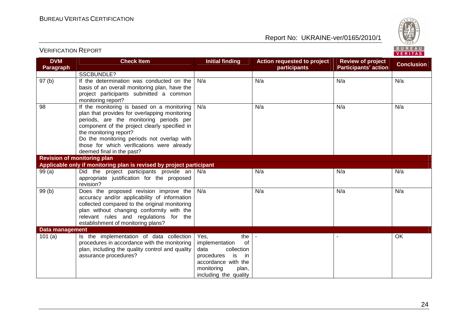

#### **DVM Paragraph Check Item Initial finding Text Action requested to project participants Review of project Participants' action Conclusion**  SSCBUNDLE? 97 (b) | If the determination was conducted on the basis of an overall monitoring plan, have the project participants submitted a common monitoring report? 98 | If the monitoring is based on a monitoring N/aa | N/a | N/a | N/a | N/a | N/a plan that provides for overlapping monitoring periods, are the monitoring periods per component of the project clearly specified in the monitoring report? Do the monitoring periods not overlap with those for which verifications were already deemed final in the past? N/aa | N/a | N/a | N/a | N/a | N/a **Revision of monitoring plan Applicable only if monitoring plan is revised by project participant** 99 (a) | Did the project participants provide an | N/a appropriate justification for the proposed revision? 99 (b)  $\vert$  Does the proposed revision improve the a | N/a | N/a | N/a | N/a | N/a accuracy and/or applicability of information collected compared to the original monitoring plan without changing conformity with the relevant rules and regulations for the establishment of monitoring plans? N/aa | N/a | N/a | N/a | N/a | N/a **Data management** 101 $(a)$  Is the implementation of data collection procedures in accordance with the monitoring plan, including the quality control and quality assurance procedures? Yes, the of implementation data collection in procedures is accordance with the monitoring plan, including the quality - I OK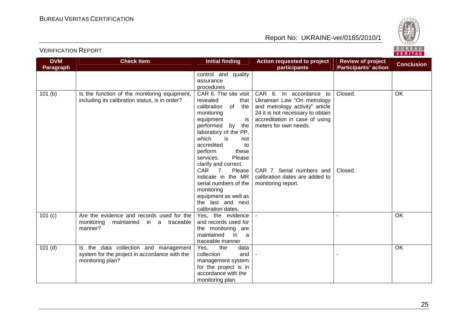

| <b>DVM</b><br>Paragraph | <b>Check Item</b>                                                                      | <b>Initial finding</b>                     | <b>Action requested to project</b><br>participants | <b>Review of project</b><br><b>Participants' action</b> | <b>Conclusion</b> |
|-------------------------|----------------------------------------------------------------------------------------|--------------------------------------------|----------------------------------------------------|---------------------------------------------------------|-------------------|
|                         |                                                                                        | control and quality                        |                                                    |                                                         |                   |
|                         |                                                                                        | assurance<br>procedures                    |                                                    |                                                         |                   |
|                         |                                                                                        | CAR 6. The site visit                      | CAR 6. In accordance to                            | Closed.                                                 | <b>OK</b>         |
| 101(b)                  | Is the function of the monitoring equipment,                                           | revealed                                   | Ukrainian Law "On metrology                        |                                                         |                   |
|                         | including its calibration status, is in order?                                         | that<br>calibration<br>of<br>the           | and metrology activity" article                    |                                                         |                   |
|                         |                                                                                        | monitoring                                 | 24 it is not necessary to obtain                   |                                                         |                   |
|                         |                                                                                        | equipment<br>is                            | accreditation in case of using                     |                                                         |                   |
|                         |                                                                                        | performed by<br>the                        | meters for own needs.                              |                                                         |                   |
|                         |                                                                                        | laboratory of the PP,                      |                                                    |                                                         |                   |
|                         |                                                                                        | which<br>is<br>not                         |                                                    |                                                         |                   |
|                         |                                                                                        | accredited<br>to                           |                                                    |                                                         |                   |
|                         |                                                                                        | perform<br>these                           |                                                    |                                                         |                   |
|                         |                                                                                        | Please<br>services.                        |                                                    |                                                         |                   |
|                         |                                                                                        | clarify and correct.                       |                                                    |                                                         |                   |
|                         |                                                                                        | CAR <sub>7</sub> .<br>Please               | CAR 7. Serial numbers and                          | Closed.                                                 |                   |
|                         |                                                                                        | indicate in the MR                         | calibration dates are added to                     |                                                         |                   |
|                         |                                                                                        | serial numbers of the                      | monitoring report.                                 |                                                         |                   |
|                         |                                                                                        | monitoring                                 |                                                    |                                                         |                   |
|                         |                                                                                        | equipment as well as                       |                                                    |                                                         |                   |
|                         |                                                                                        | the last and next                          |                                                    |                                                         |                   |
|                         |                                                                                        | calibration dates.                         |                                                    |                                                         |                   |
| 101(c)                  | Are the evidence and records used for the                                              | Yes, the evidence                          |                                                    |                                                         | OK                |
|                         | monitoring<br>maintained in a traceable                                                | and records used for                       |                                                    |                                                         |                   |
|                         | manner?                                                                                | the monitoring are                         |                                                    |                                                         |                   |
|                         |                                                                                        | maintained<br>in<br><sub>a</sub>           |                                                    |                                                         |                   |
|                         |                                                                                        | traceable manner                           |                                                    |                                                         |                   |
| $101$ (d)               | Is the data collection and management<br>system for the project in accordance with the | Yes,<br>the<br>data<br>collection<br>and   |                                                    |                                                         | OK                |
|                         | monitoring plan?                                                                       |                                            |                                                    |                                                         |                   |
|                         |                                                                                        | management system<br>for the project is in |                                                    |                                                         |                   |
|                         |                                                                                        | accordance with the                        |                                                    |                                                         |                   |
|                         |                                                                                        | monitoring plan.                           |                                                    |                                                         |                   |
|                         |                                                                                        |                                            |                                                    |                                                         |                   |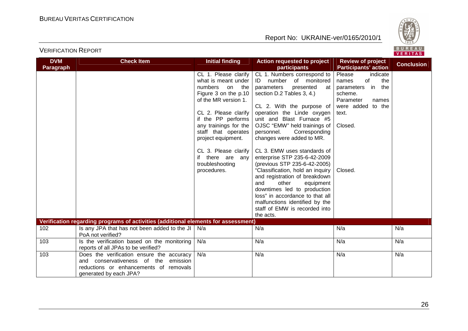

| <b>DVM</b><br><b>Paragraph</b> | <b>Check Item</b>                                                                                                                                     | <b>Initial finding</b>                                                                                                                                                                                                                                                                                                | Action requested to project<br>participants                                                                                                                                                                                                                                                                                                                                                                                                                                                                                                                                                                                                                | <b>Review of project</b><br><b>Participants' action</b>                                                                                                  | <b>Conclusion</b> |
|--------------------------------|-------------------------------------------------------------------------------------------------------------------------------------------------------|-----------------------------------------------------------------------------------------------------------------------------------------------------------------------------------------------------------------------------------------------------------------------------------------------------------------------|------------------------------------------------------------------------------------------------------------------------------------------------------------------------------------------------------------------------------------------------------------------------------------------------------------------------------------------------------------------------------------------------------------------------------------------------------------------------------------------------------------------------------------------------------------------------------------------------------------------------------------------------------------|----------------------------------------------------------------------------------------------------------------------------------------------------------|-------------------|
|                                |                                                                                                                                                       | CL 1. Please clarify<br>what is meant under<br>numbers<br>the<br>on<br>Figure 3 on the p.10<br>of the MR version 1.<br>CL 2. Please clarify<br>if the PP performs<br>any trainings for the<br>staff that operates<br>project equipment.<br>CL 3. Please clarify<br>if there are any<br>troubleshooting<br>procedures. | CL 1. Numbers correspond to<br>ID number of monitored<br>parameters<br>presented<br>at<br>section D.2 Tables 3, 4.)<br>CL 2. With the purpose of<br>operation the Linde oxygen<br>unit and Blast Furnace #5<br>OJSC "EMW" held trainings of<br>Corresponding<br>personnel.<br>changes were added to MR.<br>CL 3. EMW uses standards of<br>enterprise STP 235-6-42-2009<br>(previous STP 235-6-42-2005)<br>"Classification, hold an inquiry<br>and registration of breakdown<br>and<br>other<br>equipment<br>downtimes led to production<br>loss" in accordance to that all<br>malfunctions identified by the<br>staff of EMW is recorded into<br>the acts. | Please<br>indicate<br>of<br>the<br>names<br>in the<br>parameters<br>scheme.<br>Parameter<br>names<br>were added<br>to the<br>text.<br>Closed.<br>Closed. |                   |
|                                | Verification regarding programs of activities (additional elements for assessment)                                                                    |                                                                                                                                                                                                                                                                                                                       |                                                                                                                                                                                                                                                                                                                                                                                                                                                                                                                                                                                                                                                            |                                                                                                                                                          |                   |
| 102                            | Is any JPA that has not been added to the JI $\vert$<br>PoA not verified?                                                                             | N/a                                                                                                                                                                                                                                                                                                                   | N/a                                                                                                                                                                                                                                                                                                                                                                                                                                                                                                                                                                                                                                                        | N/a                                                                                                                                                      | N/a               |
| 103                            | Is the verification based on the monitoring<br>reports of all JPAs to be verified?                                                                    | N/a                                                                                                                                                                                                                                                                                                                   | N/a                                                                                                                                                                                                                                                                                                                                                                                                                                                                                                                                                                                                                                                        | N/a                                                                                                                                                      | N/a               |
| 103                            | Does the verification ensure the accuracy<br>and conservativeness of the emission<br>reductions or enhancements of removals<br>generated by each JPA? | N/a                                                                                                                                                                                                                                                                                                                   | N/a                                                                                                                                                                                                                                                                                                                                                                                                                                                                                                                                                                                                                                                        | N/a                                                                                                                                                      | N/a               |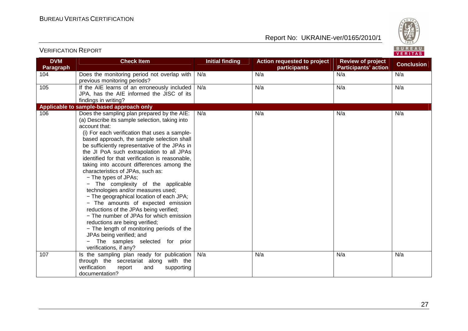

| <b>DVM</b><br><b>Paragraph</b> | <b>Check Item</b>                                                                            | <b>Initial finding</b> | Action requested to project<br>participants | <b>Review of project</b><br><b>Participants' action</b> | <b>Conclusion</b> |
|--------------------------------|----------------------------------------------------------------------------------------------|------------------------|---------------------------------------------|---------------------------------------------------------|-------------------|
|                                |                                                                                              |                        | N/a                                         | N/a                                                     | N/a               |
| 104                            | Does the monitoring period not overlap with                                                  | N/a                    |                                             |                                                         |                   |
| 105                            | previous monitoring periods?<br>If the AIE learns of an erroneously included $\vert$ N/a     |                        | N/a                                         | N/a                                                     | N/a               |
|                                | JPA, has the AIE informed the JISC of its                                                    |                        |                                             |                                                         |                   |
|                                |                                                                                              |                        |                                             |                                                         |                   |
|                                | findings in writing?<br>Applicable to sample-based approach only                             |                        |                                             |                                                         |                   |
|                                |                                                                                              |                        |                                             |                                                         |                   |
| 106                            | Does the sampling plan prepared by the AIE:                                                  | N/a                    | N/a                                         | N/a                                                     | N/a               |
|                                | (a) Describe its sample selection, taking into                                               |                        |                                             |                                                         |                   |
|                                | account that:                                                                                |                        |                                             |                                                         |                   |
|                                | (i) For each verification that uses a sample-                                                |                        |                                             |                                                         |                   |
|                                | based approach, the sample selection shall                                                   |                        |                                             |                                                         |                   |
|                                | be sufficiently representative of the JPAs in                                                |                        |                                             |                                                         |                   |
|                                | the JI PoA such extrapolation to all JPAs<br>identified for that verification is reasonable, |                        |                                             |                                                         |                   |
|                                | taking into account differences among the                                                    |                        |                                             |                                                         |                   |
|                                | characteristics of JPAs, such as:                                                            |                        |                                             |                                                         |                   |
|                                | - The types of JPAs;                                                                         |                        |                                             |                                                         |                   |
|                                | - The complexity of the applicable                                                           |                        |                                             |                                                         |                   |
|                                | technologies and/or measures used;                                                           |                        |                                             |                                                         |                   |
|                                | - The geographical location of each JPA;                                                     |                        |                                             |                                                         |                   |
|                                | - The amounts of expected emission                                                           |                        |                                             |                                                         |                   |
|                                | reductions of the JPAs being verified;                                                       |                        |                                             |                                                         |                   |
|                                | - The number of JPAs for which emission                                                      |                        |                                             |                                                         |                   |
|                                | reductions are being verified;                                                               |                        |                                             |                                                         |                   |
|                                | - The length of monitoring periods of the                                                    |                        |                                             |                                                         |                   |
|                                | JPAs being verified; and                                                                     |                        |                                             |                                                         |                   |
|                                | The samples selected for prior                                                               |                        |                                             |                                                         |                   |
|                                | verifications, if any?                                                                       |                        |                                             |                                                         |                   |
| 107                            | Is the sampling plan ready for publication                                                   | N/a                    | N/a                                         | N/a                                                     | N/a               |
|                                | through the secretariat along with the                                                       |                        |                                             |                                                         |                   |
|                                | verification<br>report<br>supporting<br>and                                                  |                        |                                             |                                                         |                   |
|                                | documentation?                                                                               |                        |                                             |                                                         |                   |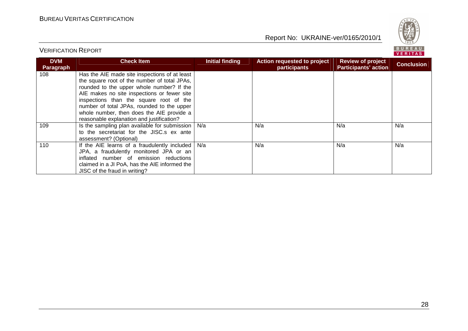

| <b>DVM</b><br>Paragraph | <b>Check Item</b>                                                                                                                                                                                                                                                                                                                                                            | Initial finding | Action requested to project<br>participants | <b>Review of project</b><br><b>Participants' action</b> | <b>Conclusion</b> |
|-------------------------|------------------------------------------------------------------------------------------------------------------------------------------------------------------------------------------------------------------------------------------------------------------------------------------------------------------------------------------------------------------------------|-----------------|---------------------------------------------|---------------------------------------------------------|-------------------|
| 108                     | Has the AIE made site inspections of at least<br>the square root of the number of total JPAs,<br>rounded to the upper whole number? If the<br>AIE makes no site inspections or fewer site<br>inspections than the square root of the<br>number of total JPAs, rounded to the upper<br>whole number, then does the AIE provide a<br>reasonable explanation and justification? |                 |                                             |                                                         |                   |
| 109                     | Is the sampling plan available for submission   N/a<br>to the secretariat for the JISC.s ex ante<br>assessment? (Optional)                                                                                                                                                                                                                                                   |                 | N/a                                         | N/a                                                     | N/a               |
| 110                     | If the AIE learns of a fraudulently included $\vert$ N/a<br>JPA, a fraudulently monitored JPA or an<br>inflated number of emission reductions<br>claimed in a JI PoA, has the AIE informed the<br>JISC of the fraud in writing?                                                                                                                                              |                 | N/a                                         | N/a                                                     | N/a               |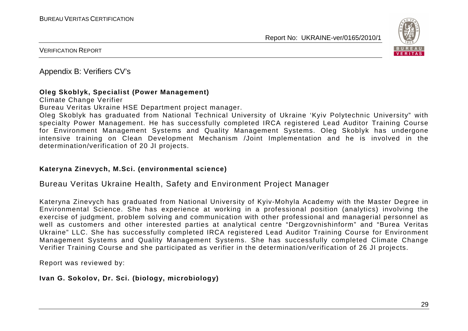

VERIFICATION REPORT

Appendix B: Verifiers CV's

#### **Oleg Skoblyk, Specialist (Power Management)**

Climate Change Verifier

Bureau Veritas Ukraine HSE Department project manager.

 Oleg Skoblyk has graduated from National Technical University of Ukraine 'Kyiv Polytechnic University" with specialty Power Management. He has successfully completed IRCA registered Lead Auditor Training Course for Environment Management Systems and Quality Management Systems. Oleg Skoblyk has undergone intensive training on Clean Development Mechanism /Joint Implementation and he is involved in the determination/verification of 20 JI projects.

#### **Kateryna Zinevych, M.Sci. (environmental science)**

#### Bureau Veritas Ukraine Health, Safety and Environment Project Manager

Kateryna Zinevych has graduated from National University of Kyiv-Mohyla Academy with the Master Degree in Environmental Science. She has experience at working in a professional position (analytics) involving the exercise of judgment, problem solving and communication with other professional and managerial personnel as well as customers and other interested parties at analytical centre "Dergzovnishinform" and "Burea Veritas Ukraine" LLC. She has successfully completed IRCA registered Lead Auditor Training Course for Environment Management Systems and Quality Management Systems. She has successfully completed Climate Change Verifier Training Course and she participated as verifier in the determination/verification of 26 JI projects.

Report was reviewed by:

**Ivan G. Sokolov, Dr. Sci. (biology, microbiology)**